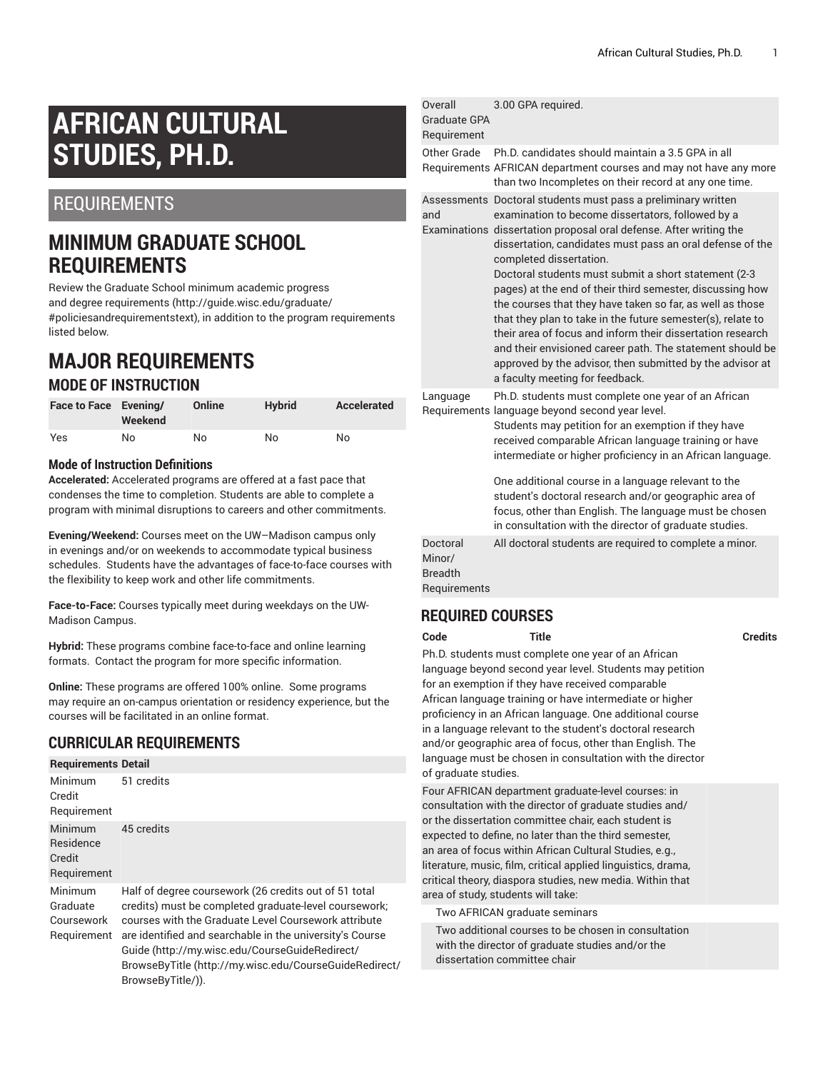# **AFRICAN CULTURAL STUDIES, PH.D.**

## REQUIREMENTS

# **MINIMUM GRADUATE SCHOOL REQUIREMENTS**

Review the Graduate School minimum [academic](http://guide.wisc.edu/graduate/#policiesandrequirementstext) progress and degree [requirements](http://guide.wisc.edu/graduate/#policiesandrequirementstext) [\(http://guide.wisc.edu/graduate/](http://guide.wisc.edu/graduate/#policiesandrequirementstext) [#policiesandrequirementstext\)](http://guide.wisc.edu/graduate/#policiesandrequirementstext), in addition to the program requirements listed below.

### **MAJOR REQUIREMENTS MODE OF INSTRUCTION**

| Face to Face Evening/ | Weekend | Online | <b>Hybrid</b> | Accelerated |
|-----------------------|---------|--------|---------------|-------------|
| Yes                   | No      | No     | No            | No          |

#### **Mode of Instruction Definitions**

**Accelerated:** Accelerated programs are offered at a fast pace that condenses the time to completion. Students are able to complete a program with minimal disruptions to careers and other commitments.

**Evening/Weekend:** Courses meet on the UW–Madison campus only in evenings and/or on weekends to accommodate typical business schedules. Students have the advantages of face-to-face courses with the flexibility to keep work and other life commitments.

**Face-to-Face:** Courses typically meet during weekdays on the UW-Madison Campus.

**Hybrid:** These programs combine face-to-face and online learning formats. Contact the program for more specific information.

**Online:** These programs are offered 100% online. Some programs may require an on-campus orientation or residency experience, but the courses will be facilitated in an online format.

#### **CURRICULAR REQUIREMENTS**

| <b>Requirements Detail</b>                       |                                                                                                                                                                                                                                                                                                                                                                     |
|--------------------------------------------------|---------------------------------------------------------------------------------------------------------------------------------------------------------------------------------------------------------------------------------------------------------------------------------------------------------------------------------------------------------------------|
| <b>Minimum</b><br>Credit<br>Requirement          | 51 credits                                                                                                                                                                                                                                                                                                                                                          |
| Minimum<br>Residence<br>Credit<br>Requirement    | 45 credits                                                                                                                                                                                                                                                                                                                                                          |
| Minimum<br>Graduate<br>Coursework<br>Requirement | Half of degree coursework (26 credits out of 51 total<br>credits) must be completed graduate-level coursework;<br>courses with the Graduate Level Coursework attribute<br>are identified and searchable in the university's Course<br>Guide (http://my.wisc.edu/CourseGuideRedirect/<br>BrowseByTitle (http://my.wisc.edu/CourseGuideRedirect/<br>BrowseByTitle/)). |

|  | Overall<br>Graduate GPA<br>Requirement               | 3.00 GPA required.                                                                                                                                                                                                                                                                                                                                                                                                                                                                                                                                                                                                                                                                                                        |
|--|------------------------------------------------------|---------------------------------------------------------------------------------------------------------------------------------------------------------------------------------------------------------------------------------------------------------------------------------------------------------------------------------------------------------------------------------------------------------------------------------------------------------------------------------------------------------------------------------------------------------------------------------------------------------------------------------------------------------------------------------------------------------------------------|
|  | Other Grade                                          | Ph.D. candidates should maintain a 3.5 GPA in all<br>Requirements AFRICAN department courses and may not have any more<br>than two Incompletes on their record at any one time.                                                                                                                                                                                                                                                                                                                                                                                                                                                                                                                                           |
|  | and                                                  | Assessments Doctoral students must pass a preliminary written<br>examination to become dissertators, followed by a<br>Examinations dissertation proposal oral defense. After writing the<br>dissertation, candidates must pass an oral defense of the<br>completed dissertation.<br>Doctoral students must submit a short statement (2-3<br>pages) at the end of their third semester, discussing how<br>the courses that they have taken so far, as well as those<br>that they plan to take in the future semester(s), relate to<br>their area of focus and inform their dissertation research<br>and their envisioned career path. The statement should be<br>approved by the advisor, then submitted by the advisor at |
|  | Language                                             | a faculty meeting for feedback.<br>Ph.D. students must complete one year of an African<br>Requirements language beyond second year level.<br>Students may petition for an exemption if they have<br>received comparable African language training or have<br>intermediate or higher proficiency in an African language.<br>One additional course in a language relevant to the<br>student's doctoral research and/or geographic area of<br>focus, other than English. The language must be chosen<br>in consultation with the director of graduate studies.                                                                                                                                                               |
|  | Doctoral<br>Minor/<br><b>Breadth</b><br>Requirements | All doctoral students are required to complete a minor.                                                                                                                                                                                                                                                                                                                                                                                                                                                                                                                                                                                                                                                                   |
|  | <b>REQUIRED COURSES</b>                              |                                                                                                                                                                                                                                                                                                                                                                                                                                                                                                                                                                                                                                                                                                                           |

**Code Title Credits**

Ph.D. students must complete one year of an African language beyond second year level. Students may petition for an exemption if they have received comparable African language training or have intermediate or higher proficiency in an African language. One additional course in a language relevant to the student's doctoral research and/or geographic area of focus, other than English. The language must be chosen in consultation with the director of graduate studies.

Four AFRICAN department graduate-level courses: in consultation with the director of graduate studies and/ or the dissertation committee chair, each student is expected to define, no later than the third semester, an area of focus within African Cultural Studies, e.g., literature, music, film, critical applied linguistics, drama, critical theory, diaspora studies, new media. Within that area of study, students will take:

Two AFRICAN graduate seminars

Two additional courses to be chosen in consultation with the director of graduate studies and/or the dissertation committee chair